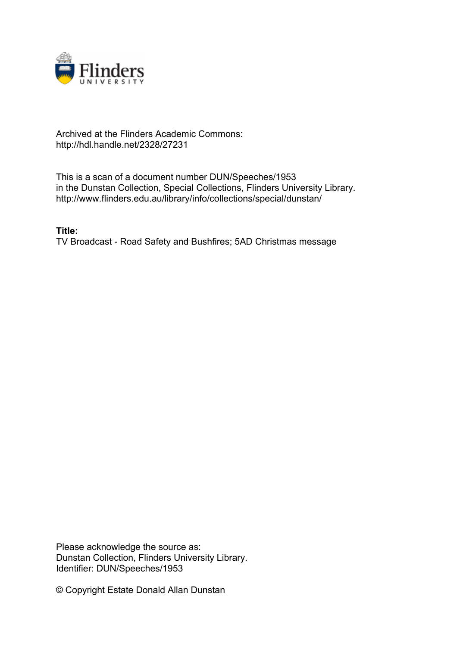

## Archived at the Flinders Academic Commons: http://hdl.handle.net/2328/27231

This is a scan of a document number DUN/Speeches/1953 in the Dunstan Collection, Special Collections, Flinders University Library. http://www.flinders.edu.au/library/info/collections/special/dunstan/

**Title:** TV Broadcast - Road Safety and Bushfires; 5AD Christmas message

Please acknowledge the source as: Dunstan Collection, Flinders University Library. Identifier: DUN/Speeches/1953

© Copyright Estate Donald Allan Dunstan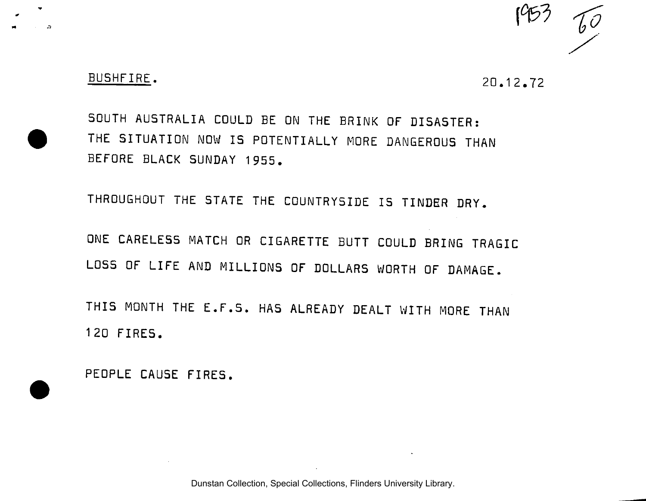

## BUSHFIRE. 20.12.72

SOUTH AUSTRALIA COULD BE ON THE BRINK OF DISASTER: THE SITUATION NOW IS POTENTIALLY MORE DANGEROUS THAN BEFORE BLACK SUNDAY 1955.

THROUGHOUT THE STATE THE COUNTRYSIDE IS TINDER DRY.

ONE CARELESS MATCH OR CIGARETTE BUTT COULD BRING TRAGIC LOSS OF LIFE AND MILLIONS OF DOLLARS WORTH OF DAMAGE.

THIS MONTH THE E.F.S. HAS ALREADY DEALT WITH MORE THAN 120 FIRES.

PEOPLE CAUSE FIRES.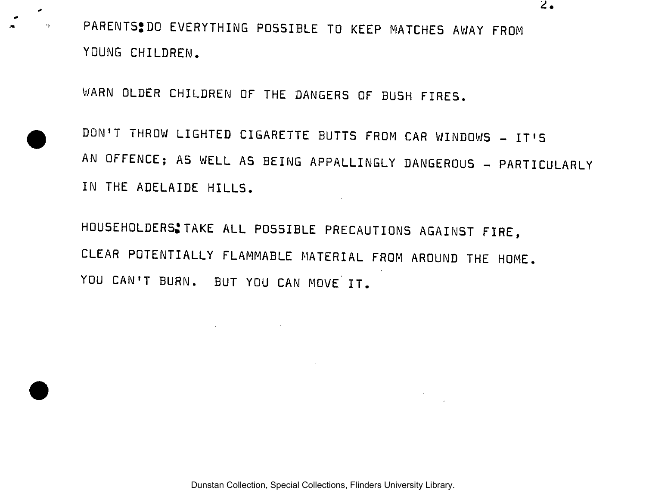PARENTS<sup>2</sup>DO EVERYTHING POSSIBLE TO KEEP MATCHES AWAY FROM YOUNG CHILDREN.

WARN OLDER CHILDREN OF THE DANGERS OF BUSH FIRES.

×  $\cdot$ 

> DON'T THROW LIGHTED CIGARETTE BUTTS FROM CAR WINDOWS - IT'S AN OFFENCE; AS WELL AS BEING APPALLINGLY DANGEROUS - PARTICULARLY IN THE ADELAIDE HILLS.

HOUSEHOLDERS:TAKE ALL POSSIBLE PRECAUTIONS AGAINST FIRE, CLEAR POTENTIALLY FLAMMABLE MATERIAL FROM AROUND THE HOME. YOU CAN'T BURN. BUT YOU CAN MOVE IT.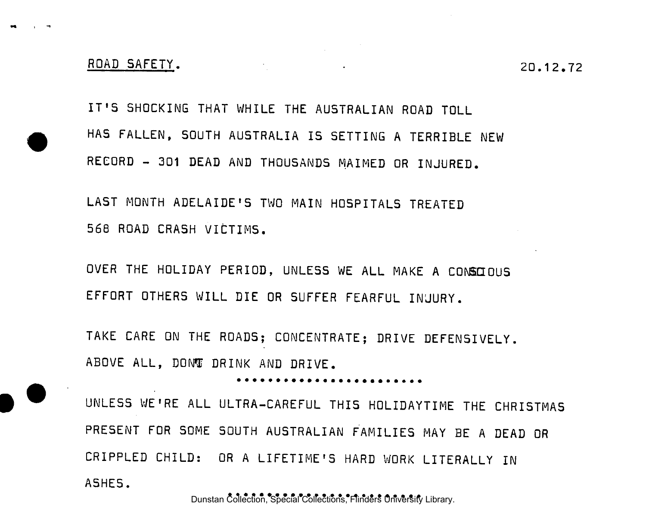IT'S SHOCKING THAT WHILE THE AUSTRALIAN ROAD TOLL HAS FALLEN, SOUTH AUSTRALIA IS SETTING A TERRIBLE NEW RECORD - 301 DEAD AND THOUSANDS MAIMED OR INJURED.

LAST MONTH ADELAIDE'S TWO MAIN HOSPITALS TREATED 568 ROAD CRASH VICTIMS.

OVER THE HOLIDAY PERIOD, UNLESS WE ALL MAKE A CONSCIOUS EFFORT OTHERS WILL DIE OR SUFFER FEARFUL INJURY.

TAKE CARE ON THE ROADS; CONCENTRATE; DRIVE DEFENSIVELY. ABOVE ALL, DONT DRINK AND DRIVE.

UNLESS WE'RE ALL ULTRA-CAREFUL THIS HOLIDAYTIME THE CHRISTMAS PRESENT FOR SOME SOUTH AUSTRALIAN FAMILIES MAY BE A DEAD OR CRIPPLED CHILD: OR A LIFETIME'S HARD WORK LITERALLY IN A5HES.

Dunstan Collection, Special Collections, Flinders University Library.